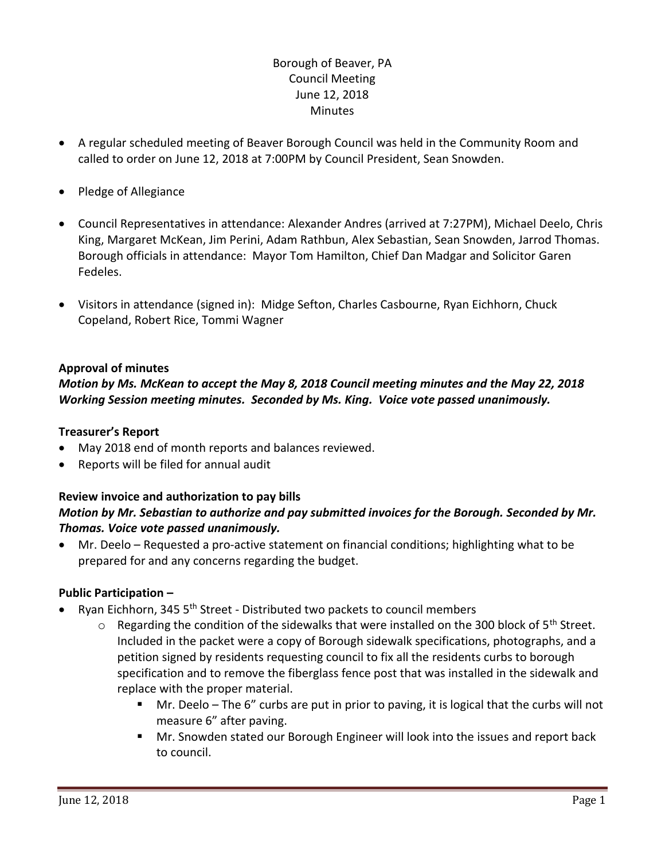# Borough of Beaver, PA Council Meeting June 12, 2018 **Minutes**

- A regular scheduled meeting of Beaver Borough Council was held in the Community Room and called to order on June 12, 2018 at 7:00PM by Council President, Sean Snowden.
- Pledge of Allegiance
- Council Representatives in attendance: Alexander Andres (arrived at 7:27PM), Michael Deelo, Chris King, Margaret McKean, Jim Perini, Adam Rathbun, Alex Sebastian, Sean Snowden, Jarrod Thomas. Borough officials in attendance: Mayor Tom Hamilton, Chief Dan Madgar and Solicitor Garen Fedeles.
- Visitors in attendance (signed in): Midge Sefton, Charles Casbourne, Ryan Eichhorn, Chuck Copeland, Robert Rice, Tommi Wagner

## **Approval of minutes**

# *Motion by Ms. McKean to accept the May 8, 2018 Council meeting minutes and the May 22, 2018 Working Session meeting minutes. Seconded by Ms. King. Voice vote passed unanimously.*

### **Treasurer's Report**

- May 2018 end of month reports and balances reviewed.
- Reports will be filed for annual audit

### **Review invoice and authorization to pay bills** *Motion by Mr. Sebastian to authorize and pay submitted invoices for the Borough. Seconded by Mr. Thomas. Voice vote passed unanimously.*

 Mr. Deelo – Requested a pro-active statement on financial conditions; highlighting what to be prepared for and any concerns regarding the budget.

## **Public Participation –**

- Ryan Eichhorn, 345 5th Street Distributed two packets to council members
	- $\circ$  Regarding the condition of the sidewalks that were installed on the 300 block of 5<sup>th</sup> Street. Included in the packet were a copy of Borough sidewalk specifications, photographs, and a petition signed by residents requesting council to fix all the residents curbs to borough specification and to remove the fiberglass fence post that was installed in the sidewalk and replace with the proper material.
		- Mr. Deelo The 6" curbs are put in prior to paving, it is logical that the curbs will not measure 6" after paving.
		- **Mr. Snowden stated our Borough Engineer will look into the issues and report back** to council.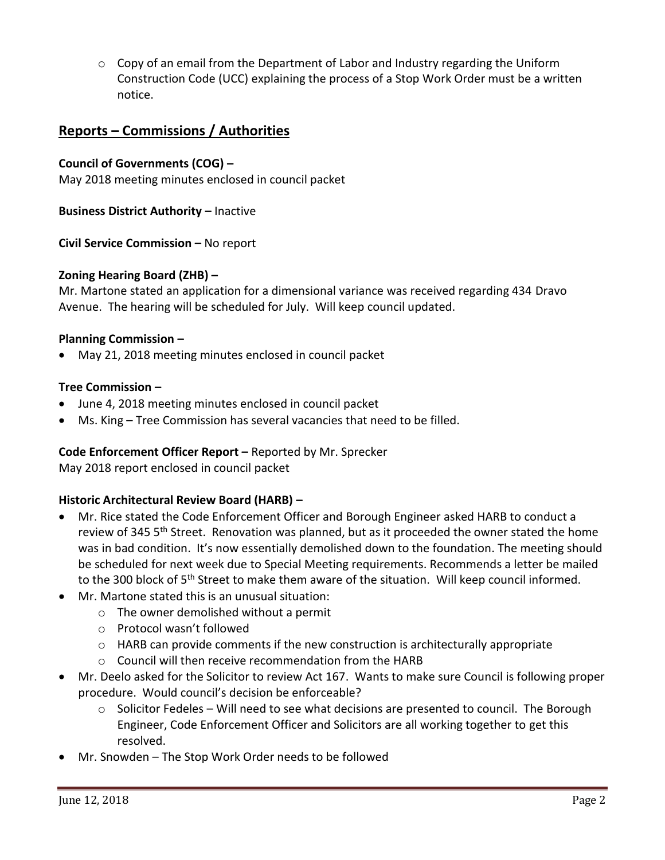$\circ$  Copy of an email from the Department of Labor and Industry regarding the Uniform Construction Code (UCC) explaining the process of a Stop Work Order must be a written notice.

# **Reports – Commissions / Authorities**

### **Council of Governments (COG) –**

May 2018 meeting minutes enclosed in council packet

**Business District Authority –** Inactive

**Civil Service Commission –** No report

#### **Zoning Hearing Board (ZHB) –**

Mr. Martone stated an application for a dimensional variance was received regarding 434 Dravo Avenue. The hearing will be scheduled for July. Will keep council updated.

#### **Planning Commission –**

May 21, 2018 meeting minutes enclosed in council packet

#### **Tree Commission –**

- June 4, 2018 meeting minutes enclosed in council packet
- Ms. King Tree Commission has several vacancies that need to be filled.

#### **Code Enforcement Officer Report –** Reported by Mr. Sprecker

May 2018 report enclosed in council packet

## **Historic Architectural Review Board (HARB) –**

- Mr. Rice stated the Code Enforcement Officer and Borough Engineer asked HARB to conduct a review of 345 5<sup>th</sup> Street. Renovation was planned, but as it proceeded the owner stated the home was in bad condition. It's now essentially demolished down to the foundation. The meeting should be scheduled for next week due to Special Meeting requirements. Recommends a letter be mailed to the 300 block of 5<sup>th</sup> Street to make them aware of the situation. Will keep council informed.
- Mr. Martone stated this is an unusual situation:
	- o The owner demolished without a permit
	- o Protocol wasn't followed
	- o HARB can provide comments if the new construction is architecturally appropriate
	- o Council will then receive recommendation from the HARB
- Mr. Deelo asked for the Solicitor to review Act 167. Wants to make sure Council is following proper procedure. Would council's decision be enforceable?
	- $\circ$  Solicitor Fedeles Will need to see what decisions are presented to council. The Borough Engineer, Code Enforcement Officer and Solicitors are all working together to get this resolved.
- Mr. Snowden The Stop Work Order needs to be followed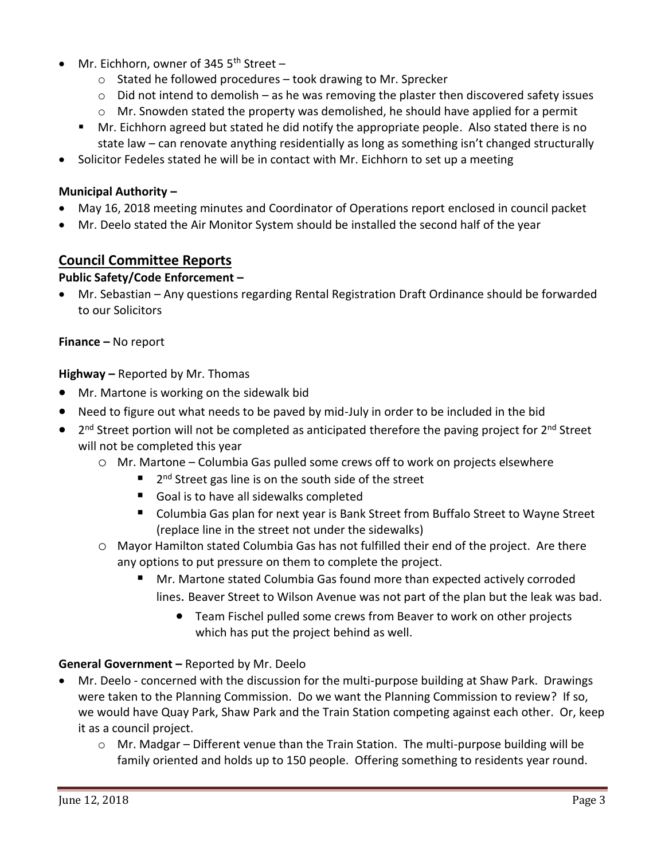- Mr. Eichhorn, owner of 345 5<sup>th</sup> Street
	- o Stated he followed procedures took drawing to Mr. Sprecker
	- $\circ$  Did not intend to demolish as he was removing the plaster then discovered safety issues
	- $\circ$  Mr. Snowden stated the property was demolished, he should have applied for a permit
	- **Mr. Eichhorn agreed but stated he did notify the appropriate people. Also stated there is no** state law – can renovate anything residentially as long as something isn't changed structurally
- Solicitor Fedeles stated he will be in contact with Mr. Eichhorn to set up a meeting

## **Municipal Authority –**

- May 16, 2018 meeting minutes and Coordinator of Operations report enclosed in council packet
- Mr. Deelo stated the Air Monitor System should be installed the second half of the year

# **Council Committee Reports**

# **Public Safety/Code Enforcement –**

 Mr. Sebastian – Any questions regarding Rental Registration Draft Ordinance should be forwarded to our Solicitors

### **Finance –** No report

**Highway –** Reported by Mr. Thomas

- Mr. Martone is working on the sidewalk bid
- Need to figure out what needs to be paved by mid-July in order to be included in the bid
- 2<sup>nd</sup> Street portion will not be completed as anticipated therefore the paving project for 2<sup>nd</sup> Street will not be completed this year
	- o Mr. Martone Columbia Gas pulled some crews off to work on projects elsewhere
		- 2 2<sup>nd</sup> Street gas line is on the south side of the street
		- Goal is to have all sidewalks completed
		- Columbia Gas plan for next year is Bank Street from Buffalo Street to Wayne Street (replace line in the street not under the sidewalks)
	- o Mayor Hamilton stated Columbia Gas has not fulfilled their end of the project. Are there any options to put pressure on them to complete the project.
		- Mr. Martone stated Columbia Gas found more than expected actively corroded lines. Beaver Street to Wilson Avenue was not part of the plan but the leak was bad.
			- Team Fischel pulled some crews from Beaver to work on other projects which has put the project behind as well.

## **General Government –** Reported by Mr. Deelo

- Mr. Deelo concerned with the discussion for the multi-purpose building at Shaw Park. Drawings were taken to the Planning Commission. Do we want the Planning Commission to review? If so, we would have Quay Park, Shaw Park and the Train Station competing against each other. Or, keep it as a council project.
	- $\circ$  Mr. Madgar Different venue than the Train Station. The multi-purpose building will be family oriented and holds up to 150 people. Offering something to residents year round.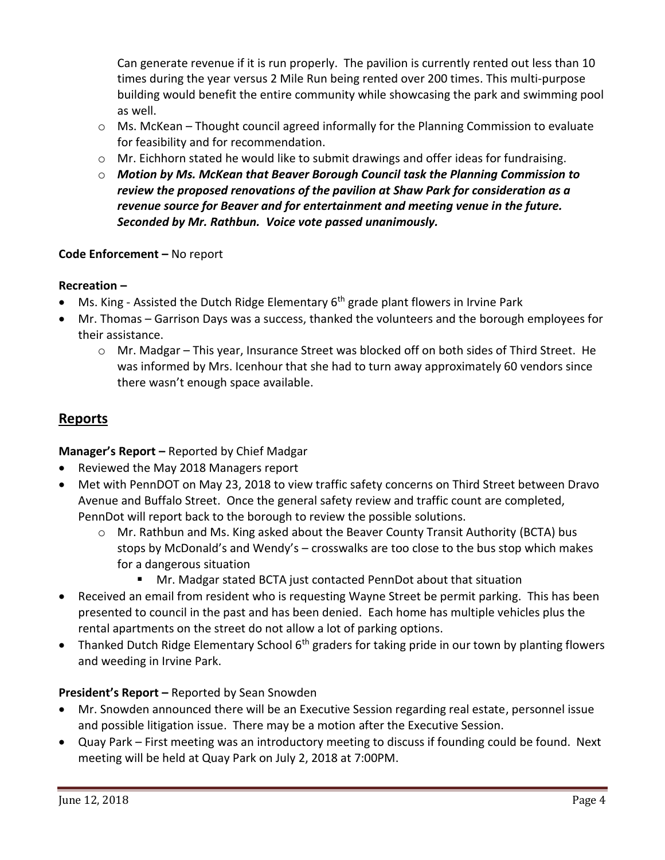Can generate revenue if it is run properly. The pavilion is currently rented out less than 10 times during the year versus 2 Mile Run being rented over 200 times. This multi-purpose building would benefit the entire community while showcasing the park and swimming pool as well.

- $\circ$  Ms. McKean Thought council agreed informally for the Planning Commission to evaluate for feasibility and for recommendation.
- $\circ$  Mr. Eichhorn stated he would like to submit drawings and offer ideas for fundraising.
- o *Motion by Ms. McKean that Beaver Borough Council task the Planning Commission to review the proposed renovations of the pavilion at Shaw Park for consideration as a revenue source for Beaver and for entertainment and meeting venue in the future. Seconded by Mr. Rathbun. Voice vote passed unanimously.*

# **Code Enforcement –** No report

## **Recreation –**

- Ms. King Assisted the Dutch Ridge Elementary 6<sup>th</sup> grade plant flowers in Irvine Park
- Mr. Thomas Garrison Days was a success, thanked the volunteers and the borough employees for their assistance.
	- o Mr. Madgar This year, Insurance Street was blocked off on both sides of Third Street. He was informed by Mrs. Icenhour that she had to turn away approximately 60 vendors since there wasn't enough space available.

# **Reports**

**Manager's Report –** Reported by Chief Madgar

- Reviewed the May 2018 Managers report
- Met with PennDOT on May 23, 2018 to view traffic safety concerns on Third Street between Dravo Avenue and Buffalo Street. Once the general safety review and traffic count are completed, PennDot will report back to the borough to review the possible solutions.
	- $\circ$  Mr. Rathbun and Ms. King asked about the Beaver County Transit Authority (BCTA) bus stops by McDonald's and Wendy's – crosswalks are too close to the bus stop which makes for a dangerous situation
		- Mr. Madgar stated BCTA just contacted PennDot about that situation
- Received an email from resident who is requesting Wayne Street be permit parking. This has been presented to council in the past and has been denied. Each home has multiple vehicles plus the rental apartments on the street do not allow a lot of parking options.
- Thanked Dutch Ridge Elementary School 6<sup>th</sup> graders for taking pride in our town by planting flowers and weeding in Irvine Park.

# **President's Report –** Reported by Sean Snowden

- Mr. Snowden announced there will be an Executive Session regarding real estate, personnel issue and possible litigation issue. There may be a motion after the Executive Session.
- Quay Park First meeting was an introductory meeting to discuss if founding could be found. Next meeting will be held at Quay Park on July 2, 2018 at 7:00PM.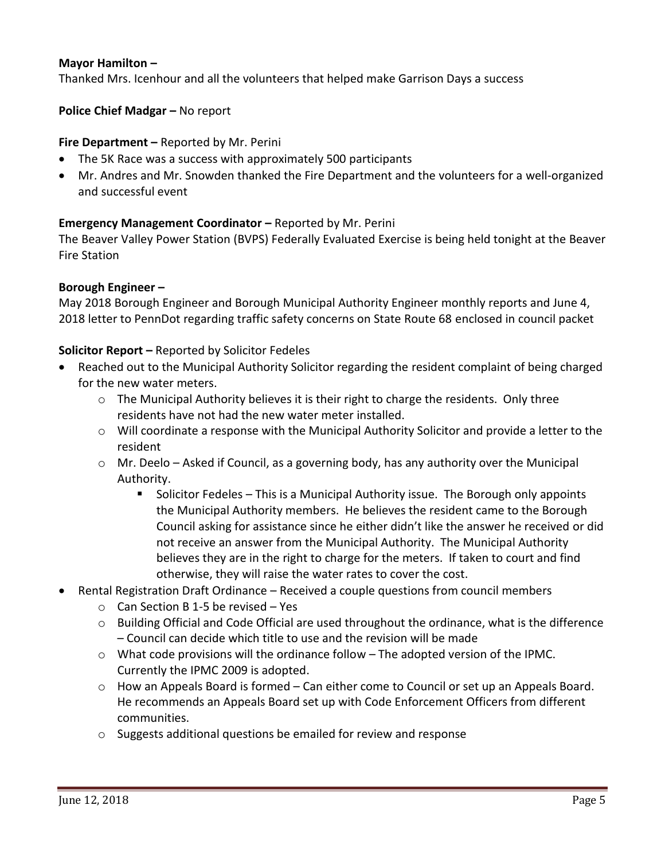### **Mayor Hamilton –**

Thanked Mrs. Icenhour and all the volunteers that helped make Garrison Days a success

**Police Chief Madgar – No report** 

### **Fire Department –** Reported by Mr. Perini

- The 5K Race was a success with approximately 500 participants
- Mr. Andres and Mr. Snowden thanked the Fire Department and the volunteers for a well-organized and successful event

### **Emergency Management Coordinator –** Reported by Mr. Perini

The Beaver Valley Power Station (BVPS) Federally Evaluated Exercise is being held tonight at the Beaver Fire Station

#### **Borough Engineer –**

May 2018 Borough Engineer and Borough Municipal Authority Engineer monthly reports and June 4, 2018 letter to PennDot regarding traffic safety concerns on State Route 68 enclosed in council packet

#### **Solicitor Report –** Reported by Solicitor Fedeles

- Reached out to the Municipal Authority Solicitor regarding the resident complaint of being charged for the new water meters.
	- o The Municipal Authority believes it is their right to charge the residents. Only three residents have not had the new water meter installed.
	- $\circ$  Will coordinate a response with the Municipal Authority Solicitor and provide a letter to the resident
	- $\circ$  Mr. Deelo Asked if Council, as a governing body, has any authority over the Municipal Authority.
		- **Solicitor Fedeles This is a Municipal Authority issue. The Borough only appoints** the Municipal Authority members. He believes the resident came to the Borough Council asking for assistance since he either didn't like the answer he received or did not receive an answer from the Municipal Authority. The Municipal Authority believes they are in the right to charge for the meters. If taken to court and find otherwise, they will raise the water rates to cover the cost.
- Rental Registration Draft Ordinance Received a couple questions from council members
	- $\circ$  Can Section B 1-5 be revised Yes
	- $\circ$  Building Official and Code Official are used throughout the ordinance, what is the difference – Council can decide which title to use and the revision will be made
	- $\circ$  What code provisions will the ordinance follow The adopted version of the IPMC. Currently the IPMC 2009 is adopted.
	- o How an Appeals Board is formed Can either come to Council or set up an Appeals Board. He recommends an Appeals Board set up with Code Enforcement Officers from different communities.
	- o Suggests additional questions be emailed for review and response